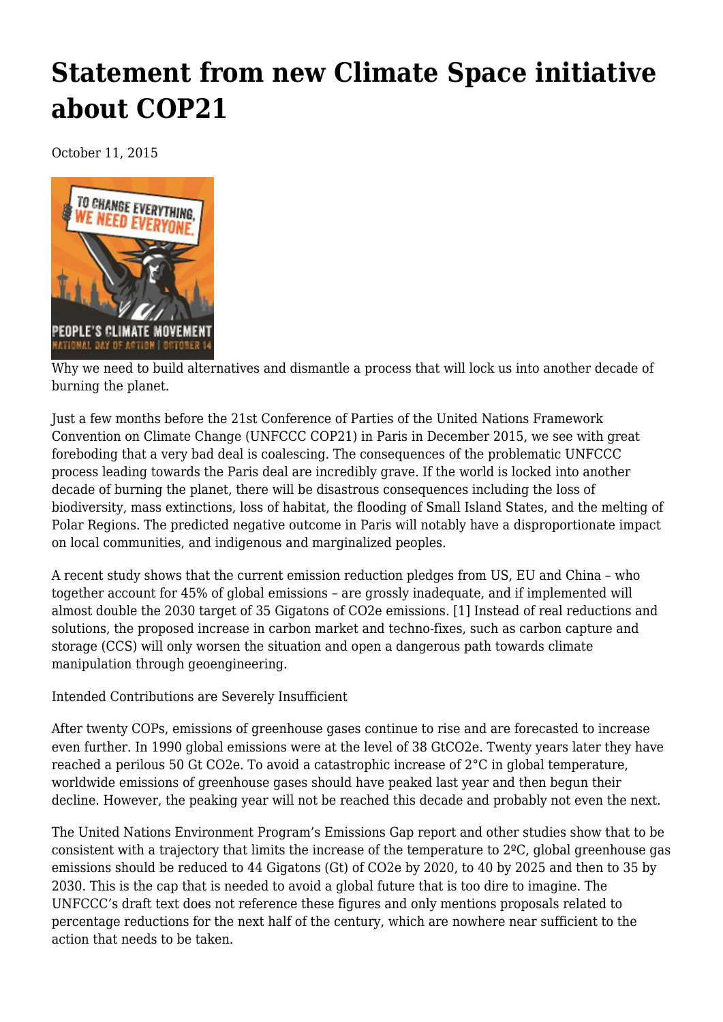## **[Statement from new Climate Space initiative](https://newpol.org/statement-new-climate-space-initiative-about-cop21/) [about COP21](https://newpol.org/statement-new-climate-space-initiative-about-cop21/)**

October 11, 2015



Why we need to build alternatives and dismantle a process that will lock us into another decade of burning the planet.

Just a few months before the 21st Conference of Parties of the United Nations Framework Convention on Climate Change (UNFCCC COP21) in Paris in December 2015, we see with great foreboding that a very bad deal is coalescing. The consequences of the problematic UNFCCC process leading towards the Paris deal are incredibly grave. If the world is locked into another decade of burning the planet, there will be disastrous consequences including the loss of biodiversity, mass extinctions, loss of habitat, the flooding of Small Island States, and the melting of Polar Regions. The predicted negative outcome in Paris will notably have a disproportionate impact on local communities, and indigenous and marginalized peoples.

A recent study shows that the current emission reduction pledges from US, EU and China – who together account for 45% of global emissions – are grossly inadequate, and if implemented will almost double the 2030 target of 35 Gigatons of CO2e emissions. [1] Instead of real reductions and solutions, the proposed increase in carbon market and techno-fixes, such as carbon capture and storage (CCS) will only worsen the situation and open a dangerous path towards climate manipulation through geoengineering.

Intended Contributions are Severely Insufficient

After twenty COPs, emissions of greenhouse gases continue to rise and are forecasted to increase even further. In 1990 global emissions were at the level of 38 GtCO2e. Twenty years later they have reached a perilous 50 Gt CO2e. To avoid a catastrophic increase of 2°C in global temperature, worldwide emissions of greenhouse gases should have peaked last year and then begun their decline. However, the peaking year will not be reached this decade and probably not even the next.

The United Nations Environment Program's Emissions Gap report and other studies show that to be consistent with a trajectory that limits the increase of the temperature to 2ºC, global greenhouse gas emissions should be reduced to 44 Gigatons (Gt) of CO2e by 2020, to 40 by 2025 and then to 35 by 2030. This is the cap that is needed to avoid a global future that is too dire to imagine. The UNFCCC's draft text does not reference these figures and only mentions proposals related to percentage reductions for the next half of the century, which are nowhere near sufficient to the action that needs to be taken.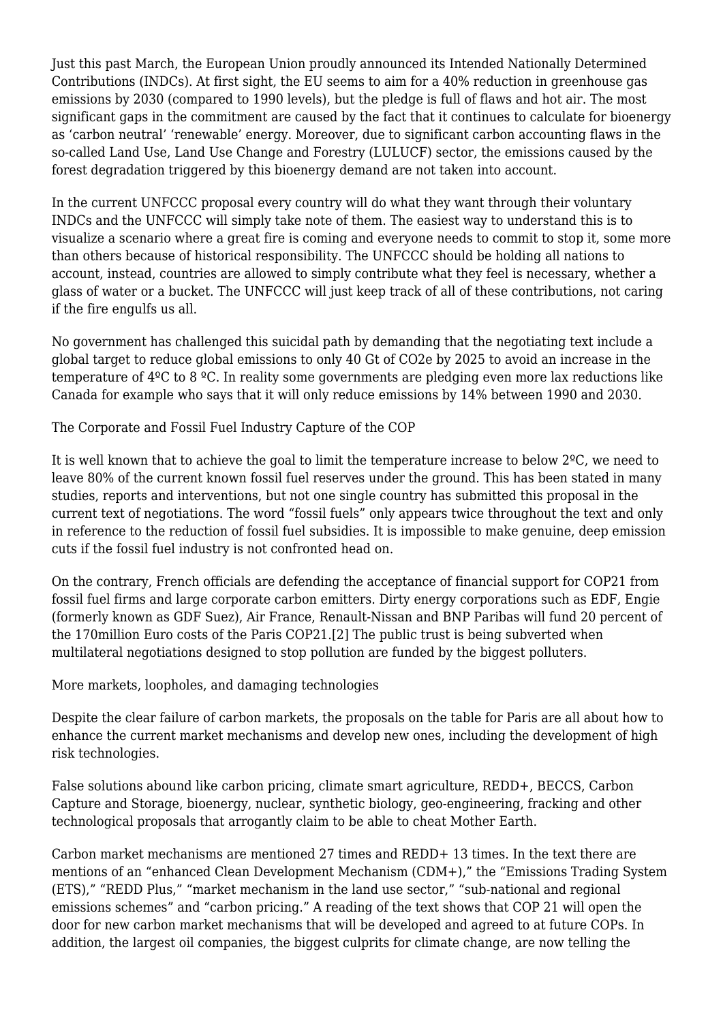Just this past March, the European Union proudly announced its Intended Nationally Determined Contributions (INDCs). At first sight, the EU seems to aim for a 40% reduction in greenhouse gas emissions by 2030 (compared to 1990 levels), but the pledge is full of flaws and hot air. The most significant gaps in the commitment are caused by the fact that it continues to calculate for bioenergy as 'carbon neutral' 'renewable' energy. Moreover, due to significant carbon accounting flaws in the so-called Land Use, Land Use Change and Forestry (LULUCF) sector, the emissions caused by the forest degradation triggered by this bioenergy demand are not taken into account.

In the current UNFCCC proposal every country will do what they want through their voluntary INDCs and the UNFCCC will simply take note of them. The easiest way to understand this is to visualize a scenario where a great fire is coming and everyone needs to commit to stop it, some more than others because of historical responsibility. The UNFCCC should be holding all nations to account, instead, countries are allowed to simply contribute what they feel is necessary, whether a glass of water or a bucket. The UNFCCC will just keep track of all of these contributions, not caring if the fire engulfs us all.

No government has challenged this suicidal path by demanding that the negotiating text include a global target to reduce global emissions to only 40 Gt of CO2e by 2025 to avoid an increase in the temperature of 4ºC to 8 ºC. In reality some governments are pledging even more lax reductions like Canada for example who says that it will only reduce emissions by 14% between 1990 and 2030.

The Corporate and Fossil Fuel Industry Capture of the COP

It is well known that to achieve the goal to limit the temperature increase to below 2ºC, we need to leave 80% of the current known fossil fuel reserves under the ground. This has been stated in many studies, reports and interventions, but not one single country has submitted this proposal in the current text of negotiations. The word "fossil fuels" only appears twice throughout the text and only in reference to the reduction of fossil fuel subsidies. It is impossible to make genuine, deep emission cuts if the fossil fuel industry is not confronted head on.

On the contrary, French officials are defending the acceptance of financial support for COP21 from fossil fuel firms and large corporate carbon emitters. Dirty energy corporations such as EDF, Engie (formerly known as GDF Suez), Air France, Renault-Nissan and BNP Paribas will fund 20 percent of the 170million Euro costs of the Paris COP21.[2] The public trust is being subverted when multilateral negotiations designed to stop pollution are funded by the biggest polluters.

More markets, loopholes, and damaging technologies

Despite the clear failure of carbon markets, the proposals on the table for Paris are all about how to enhance the current market mechanisms and develop new ones, including the development of high risk technologies.

False solutions abound like carbon pricing, climate smart agriculture, REDD+, BECCS, Carbon Capture and Storage, bioenergy, nuclear, synthetic biology, geo-engineering, fracking and other technological proposals that arrogantly claim to be able to cheat Mother Earth.

Carbon market mechanisms are mentioned 27 times and REDD+ 13 times. In the text there are mentions of an "enhanced Clean Development Mechanism (CDM+)," the "Emissions Trading System (ETS)," "REDD Plus," "market mechanism in the land use sector," "sub-national and regional emissions schemes" and "carbon pricing." A reading of the text shows that COP 21 will open the door for new carbon market mechanisms that will be developed and agreed to at future COPs. In addition, the largest oil companies, the biggest culprits for climate change, are now telling the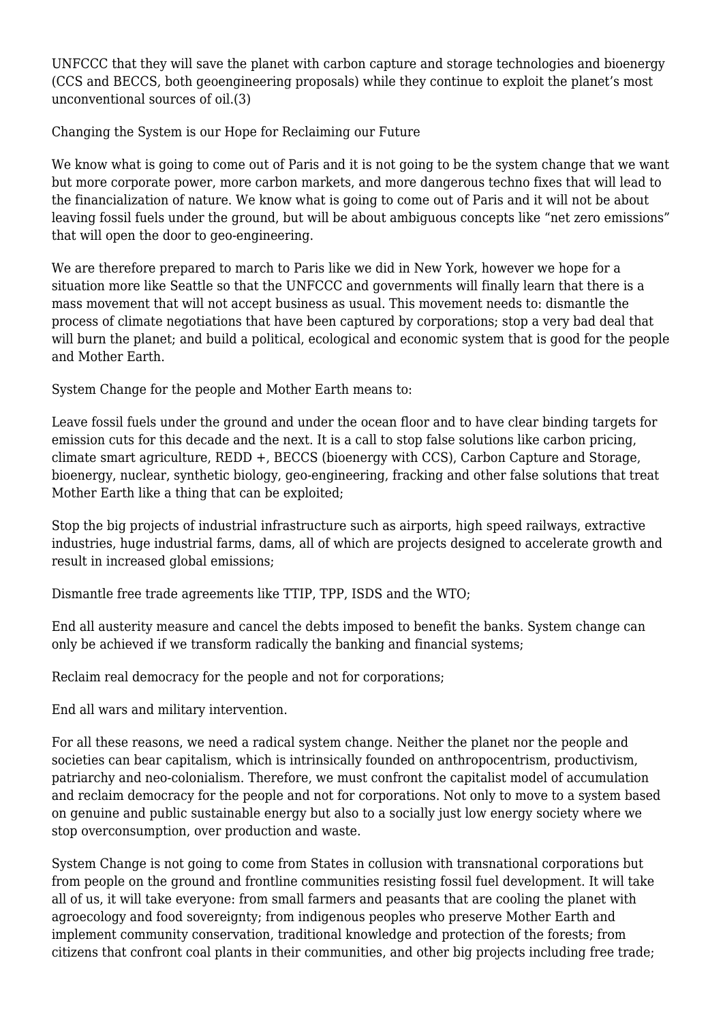UNFCCC that they will save the planet with carbon capture and storage technologies and bioenergy (CCS and BECCS, both geoengineering proposals) while they continue to exploit the planet's most unconventional sources of oil.(3)

Changing the System is our Hope for Reclaiming our Future

We know what is going to come out of Paris and it is not going to be the system change that we want but more corporate power, more carbon markets, and more dangerous techno fixes that will lead to the financialization of nature. We know what is going to come out of Paris and it will not be about leaving fossil fuels under the ground, but will be about ambiguous concepts like "net zero emissions" that will open the door to geo-engineering.

We are therefore prepared to march to Paris like we did in New York, however we hope for a situation more like Seattle so that the UNFCCC and governments will finally learn that there is a mass movement that will not accept business as usual. This movement needs to: dismantle the process of climate negotiations that have been captured by corporations; stop a very bad deal that will burn the planet; and build a political, ecological and economic system that is good for the people and Mother Earth.

System Change for the people and Mother Earth means to:

Leave fossil fuels under the ground and under the ocean floor and to have clear binding targets for emission cuts for this decade and the next. It is a call to stop false solutions like carbon pricing, climate smart agriculture, REDD +, BECCS (bioenergy with CCS), Carbon Capture and Storage, bioenergy, nuclear, synthetic biology, geo-engineering, fracking and other false solutions that treat Mother Earth like a thing that can be exploited;

Stop the big projects of industrial infrastructure such as airports, high speed railways, extractive industries, huge industrial farms, dams, all of which are projects designed to accelerate growth and result in increased global emissions;

Dismantle free trade agreements like TTIP, TPP, ISDS and the WTO;

End all austerity measure and cancel the debts imposed to benefit the banks. System change can only be achieved if we transform radically the banking and financial systems;

Reclaim real democracy for the people and not for corporations;

End all wars and military intervention.

For all these reasons, we need a radical system change. Neither the planet nor the people and societies can bear capitalism, which is intrinsically founded on anthropocentrism, productivism, patriarchy and neo-colonialism. Therefore, we must confront the capitalist model of accumulation and reclaim democracy for the people and not for corporations. Not only to move to a system based on genuine and public sustainable energy but also to a socially just low energy society where we stop overconsumption, over production and waste.

System Change is not going to come from States in collusion with transnational corporations but from people on the ground and frontline communities resisting fossil fuel development. It will take all of us, it will take everyone: from small farmers and peasants that are cooling the planet with agroecology and food sovereignty; from indigenous peoples who preserve Mother Earth and implement community conservation, traditional knowledge and protection of the forests; from citizens that confront coal plants in their communities, and other big projects including free trade;